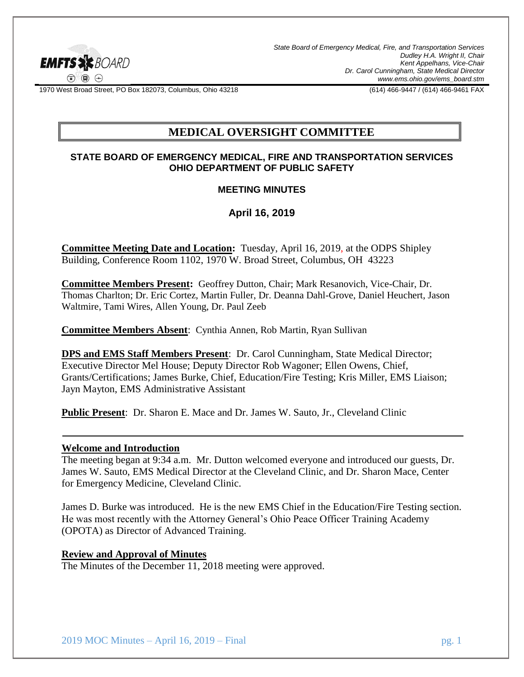

*State Board of Emergency Medical, Fire, and Transportation Services Dudley H.A. Wright II, Chair Kent Appelhans, Vice-Chair Dr. Carol Cunningham, State Medical Director www.ems.ohio.gov/ems\_board.stm*

1970 West Broad Street, PO Box 182073, Columbus, Ohio 43218 (614) 466-9447 / (614) 466-9461 FAX

# **MEDICAL OVERSIGHT COMMITTEE**

### **STATE BOARD OF EMERGENCY MEDICAL, FIRE AND TRANSPORTATION SERVICES OHIO DEPARTMENT OF PUBLIC SAFETY**

### **MEETING MINUTES**

## **April 16, 2019**

**Committee Meeting Date and Location:** Tuesday, April 16, 2019, at the ODPS Shipley Building, Conference Room 1102, 1970 W. Broad Street, Columbus, OH 43223

**Committee Members Present:** Geoffrey Dutton, Chair; Mark Resanovich, Vice-Chair, Dr. Thomas Charlton; Dr. Eric Cortez, Martin Fuller, Dr. Deanna Dahl-Grove, Daniel Heuchert, Jason Waltmire, Tami Wires, Allen Young, Dr. Paul Zeeb

**Committee Members Absent**: Cynthia Annen, Rob Martin, Ryan Sullivan

**DPS and EMS Staff Members Present**: Dr. Carol Cunningham, State Medical Director; Executive Director Mel House; Deputy Director Rob Wagoner; Ellen Owens, Chief, Grants/Certifications; James Burke, Chief, Education/Fire Testing; Kris Miller, EMS Liaison; Jayn Mayton, EMS Administrative Assistant

**Public Present**: Dr. Sharon E. Mace and Dr. James W. Sauto, Jr., Cleveland Clinic

#### **Welcome and Introduction**

The meeting began at 9:34 a.m. Mr. Dutton welcomed everyone and introduced our guests, Dr. James W. Sauto, EMS Medical Director at the Cleveland Clinic, and Dr. Sharon Mace, Center for Emergency Medicine, Cleveland Clinic.

James D. Burke was introduced. He is the new EMS Chief in the Education/Fire Testing section. He was most recently with the Attorney General's Ohio Peace Officer Training Academy (OPOTA) as Director of Advanced Training.

#### **Review and Approval of Minutes**

The Minutes of the December 11, 2018 meeting were approved.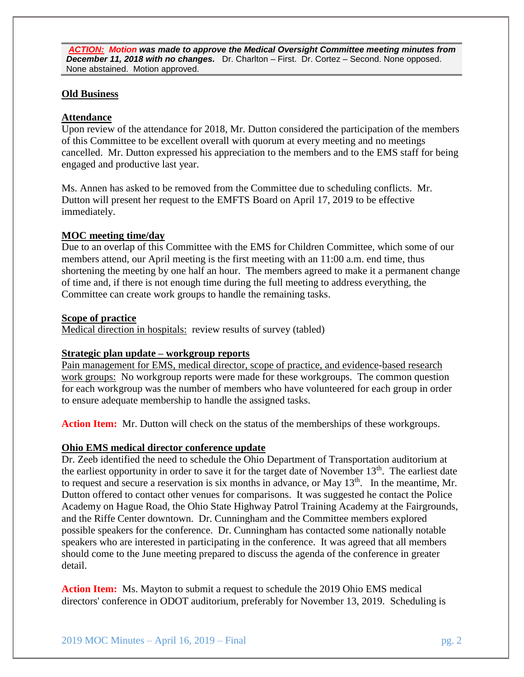*ACTION: Motion was made to approve the Medical Oversight Committee meeting minutes from December 11, 2018 with no changes.* Dr. Charlton – First. Dr. Cortez – Second. None opposed. None abstained. Motion approved.

### **Old Business**

## **Attendance**

Upon review of the attendance for 2018, Mr. Dutton considered the participation of the members of this Committee to be excellent overall with quorum at every meeting and no meetings cancelled. Mr. Dutton expressed his appreciation to the members and to the EMS staff for being engaged and productive last year.

Ms. Annen has asked to be removed from the Committee due to scheduling conflicts. Mr. Dutton will present her request to the EMFTS Board on April 17, 2019 to be effective immediately.

### **MOC meeting time/day**

Due to an overlap of this Committee with the EMS for Children Committee, which some of our members attend, our April meeting is the first meeting with an 11:00 a.m. end time, thus shortening the meeting by one half an hour. The members agreed to make it a permanent change of time and, if there is not enough time during the full meeting to address everything, the Committee can create work groups to handle the remaining tasks.

### **Scope of practice**

Medical direction in hospitals: review results of survey (tabled)

## **Strategic plan update – workgroup reports**

Pain management for EMS, medical director, scope of practice, and evidence-based research work groups: No workgroup reports were made for these workgroups. The common question for each workgroup was the number of members who have volunteered for each group in order to ensure adequate membership to handle the assigned tasks.

**Action Item:** Mr. Dutton will check on the status of the memberships of these workgroups.

### **Ohio EMS medical director conference update**

Dr. Zeeb identified the need to schedule the Ohio Department of Transportation auditorium at the earliest opportunity in order to save it for the target date of November  $13<sup>th</sup>$ . The earliest date to request and secure a reservation is six months in advance, or May  $13<sup>th</sup>$ . In the meantime, Mr. Dutton offered to contact other venues for comparisons. It was suggested he contact the Police Academy on Hague Road, the Ohio State Highway Patrol Training Academy at the Fairgrounds, and the Riffe Center downtown. Dr. Cunningham and the Committee members explored possible speakers for the conference. Dr. Cunningham has contacted some nationally notable speakers who are interested in participating in the conference. It was agreed that all members should come to the June meeting prepared to discuss the agenda of the conference in greater detail.

**Action Item:** Ms. Mayton to submit a request to schedule the 2019 Ohio EMS medical directors' conference in ODOT auditorium, preferably for November 13, 2019. Scheduling is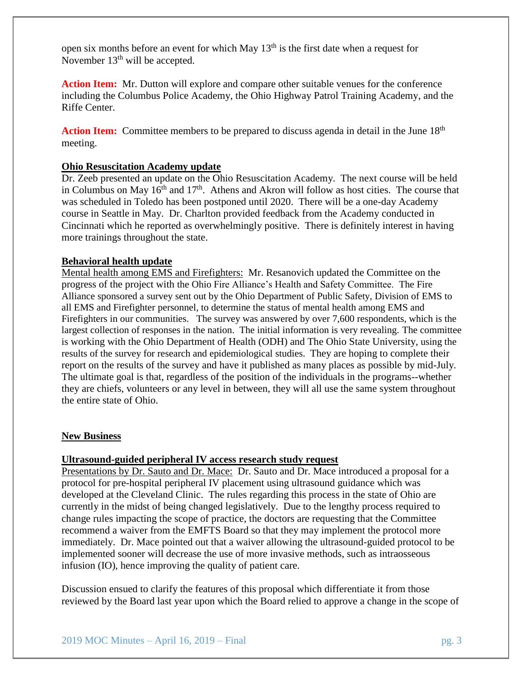open six months before an event for which May 13th is the first date when a request for November  $13<sup>th</sup>$  will be accepted.

**Action Item:** Mr. Dutton will explore and compare other suitable venues for the conference including the Columbus Police Academy, the Ohio Highway Patrol Training Academy, and the Riffe Center.

Action Item: Committee members to be prepared to discuss agenda in detail in the June 18<sup>th</sup> meeting.

### **Ohio Resuscitation Academy update**

Dr. Zeeb presented an update on the Ohio Resuscitation Academy. The next course will be held in Columbus on May  $16^{th}$  and  $17^{th}$ . Athens and Akron will follow as host cities. The course that was scheduled in Toledo has been postponed until 2020. There will be a one-day Academy course in Seattle in May. Dr. Charlton provided feedback from the Academy conducted in Cincinnati which he reported as overwhelmingly positive. There is definitely interest in having more trainings throughout the state.

### **Behavioral health update**

Mental health among EMS and Firefighters: Mr. Resanovich updated the Committee on the progress of the project with the Ohio Fire Alliance's Health and Safety Committee. The Fire Alliance sponsored a survey sent out by the Ohio Department of Public Safety, Division of EMS to all EMS and Firefighter personnel, to determine the status of mental health among EMS and Firefighters in our communities. The survey was answered by over 7,600 respondents, which is the largest collection of responses in the nation. The initial information is very revealing. The committee is working with the Ohio Department of Health (ODH) and The Ohio State University, using the results of the survey for research and epidemiological studies. They are hoping to complete their report on the results of the survey and have it published as many places as possible by mid-July. The ultimate goal is that, regardless of the position of the individuals in the programs--whether they are chiefs, volunteers or any level in between, they will all use the same system throughout the entire state of Ohio.

#### **New Business**

### **Ultrasound-guided peripheral IV access research study request**

Presentations by Dr. Sauto and Dr. Mace: Dr. Sauto and Dr. Mace introduced a proposal for a protocol for pre-hospital peripheral IV placement using ultrasound guidance which was developed at the Cleveland Clinic. The rules regarding this process in the state of Ohio are currently in the midst of being changed legislatively. Due to the lengthy process required to change rules impacting the scope of practice, the doctors are requesting that the Committee recommend a waiver from the EMFTS Board so that they may implement the protocol more immediately. Dr. Mace pointed out that a waiver allowing the ultrasound-guided protocol to be implemented sooner will decrease the use of more invasive methods, such as intraosseous infusion (IO), hence improving the quality of patient care.

Discussion ensued to clarify the features of this proposal which differentiate it from those reviewed by the Board last year upon which the Board relied to approve a change in the scope of